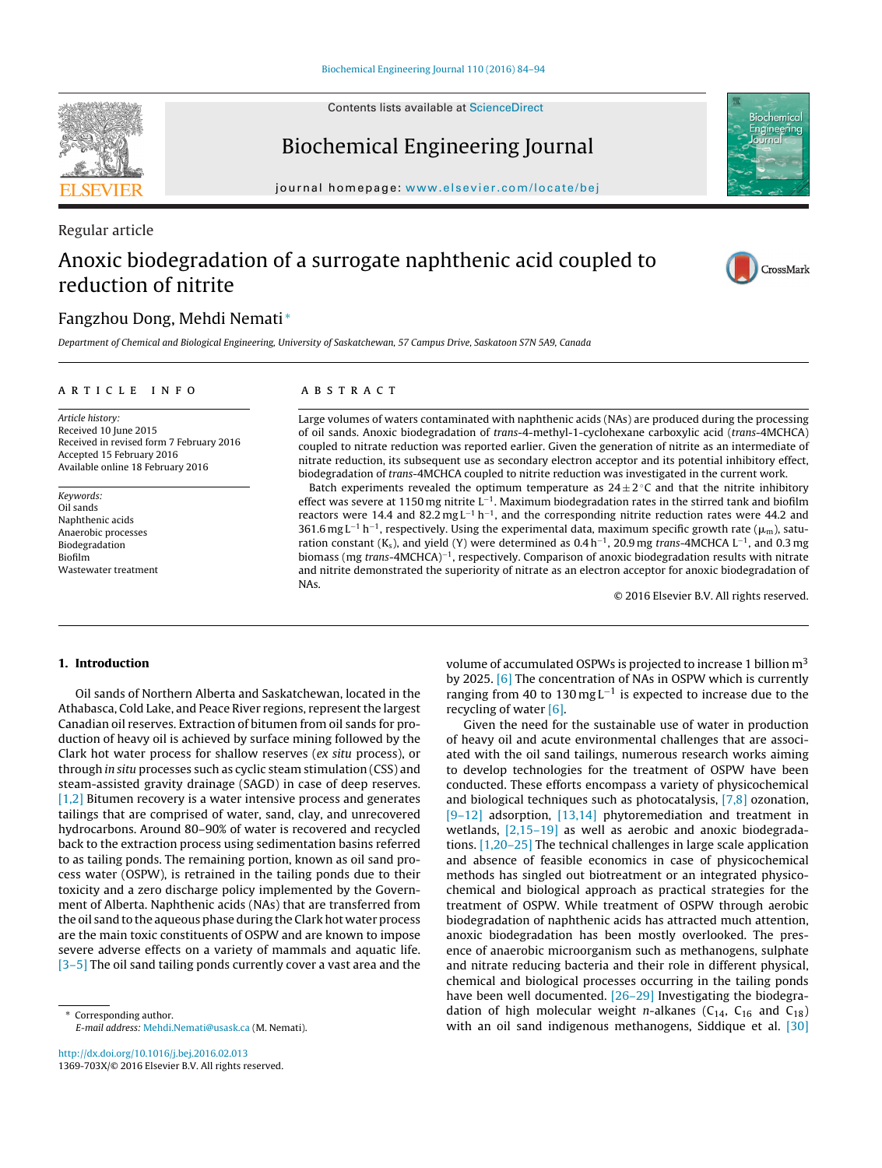Contents lists available at [ScienceDirect](http://www.sciencedirect.com/science/journal/1369703X)



Regular article

Biochemical Engineering Journal



## Anoxic biodegradation of a surrogate naphthenic acid coupled to reduction of nitrite



CrossMark

Biochemica Engineering

### Fangzhou Dong, Mehdi Nemati <sup>∗</sup>

Department of Chemical and Biological Engineering, University of Saskatchewan, 57 Campus Drive, Saskatoon S7N 5A9, Canada

#### a r t i c l e i n f o

#### A B S T R A C T

Article history: Received 10 June 2015 Received in revised form 7 February 2016 Accepted 15 February 2016 Available online 18 February 2016

Keywords: Oil sands Naphthenic acids Anaerobic processes Biodegradation Biofilm Wastewater treatment

Large volumes of waters contaminated with naphthenic acids (NAs) are produced during the processing of oil sands. Anoxic biodegradation of trans-4-methyl-1-cyclohexane carboxylic acid (trans-4MCHCA) coupled to nitrate reduction was reported earlier. Given the generation of nitrite as an intermediate of nitrate reduction, its subsequent use as secondary electron acceptor and its potential inhibitory effect, biodegradation of trans-4MCHCA coupled to nitrite reduction was investigated in the current work.

Batch experiments revealed the optimum temperature as  $24 \pm 2$  °C and that the nitrite inhibitory effect was severe at 1150 mg nitrite L−1. Maximum biodegradation rates in the stirred tank and biofilm reactors were 14.4 and 82.2 mg L−<sup>1</sup> h−1, and the corresponding nitrite reduction rates were 44.2 and 361.6 mg L<sup>−1</sup> h<sup>−1</sup>, respectively. Using the experimental data, maximum specific growth rate ( $\mu_{\rm m}$ ), saturation constant (K<sub>s</sub>), and yield (Y) were determined as 0.4 h<sup>-1</sup>, 20.9 mg trans-4MCHCA L<sup>-1</sup>, and 0.3 mg biomass (mg trans-4MCHCA)−1, respectively. Comparison of anoxic biodegradation results with nitrate and nitrite demonstrated the superiority of nitrate as an electron acceptor for anoxic biodegradation of NAs.

© 2016 Elsevier B.V. All rights reserved.

#### **1. Introduction**

Oil sands of Northern Alberta and Saskatchewan, located in the Athabasca, Cold Lake, and Peace River regions, represent the largest Canadian oil reserves. Extraction of bitumen from oil sands for production of heavy oil is achieved by surface mining followed by the Clark hot water process for shallow reserves (ex situ process), or through in situ processes such as cyclic steam stimulation (CSS) and steam-assisted gravity drainage (SAGD) in case of deep reserves. [\[1,2\]](#page--1-0) Bitumen recovery is a water intensive process and generates tailings that are comprised of water, sand, clay, and unrecovered hydrocarbons. Around 80–90% of water is recovered and recycled back to the extraction process using sedimentation basins referred to as tailing ponds. The remaining portion, known as oil sand process water (OSPW), is retrained in the tailing ponds due to their toxicity and a zero discharge policy implemented by the Government of Alberta. Naphthenic acids (NAs) that are transferred from the oil sand to the aqueous phase during the Clark hot water process are the main toxic constituents of OSPW and are known to impose severe adverse effects on a variety of mammals and aquatic life. [\[3–5\]](#page--1-0) The oil sand tailing ponds currently cover a vast area and the

volume of accumulated OSPWs is projected to increase 1 billion  $m<sup>3</sup>$ by 2025. [\[6\]](#page--1-0) The concentration of NAs in OSPW which is currently ranging from 40 to 130 mg L<sup>-1</sup> is expected to increase due to the recycling of water [\[6\].](#page--1-0)

Given the need for the sustainable use of water in production of heavy oil and acute environmental challenges that are associated with the oil sand tailings, numerous research works aiming to develop technologies for the treatment of OSPW have been conducted. These efforts encompass a variety of physicochemical and biological techniques such as photocatalysis, [\[7,8\]](#page--1-0) ozonation,  $[9-12]$  adsorption,  $[13,14]$  phytoremediation and treatment in wetlands, [2,15-19] as well as aerobic and anoxic biodegradations. [\[1,20–25\]](#page--1-0) The technical challenges in large scale application and absence of feasible economics in case of physicochemical methods has singled out biotreatment or an integrated physicochemical and biological approach as practical strategies for the treatment of OSPW. While treatment of OSPW through aerobic biodegradation of naphthenic acids has attracted much attention, anoxic biodegradation has been mostly overlooked. The presence of anaerobic microorganism such as methanogens, sulphate and nitrate reducing bacteria and their role in different physical, chemical and biological processes occurring in the tailing ponds have been well documented. [\[26–29\]](#page--1-0) Investigating the biodegradation of high molecular weight *n*-alkanes ( $C_{14}$ ,  $C_{16}$  and  $C_{18}$ ) with an oil sand indigenous methanogens, Siddique et al. [\[30\]](#page--1-0)

<sup>∗</sup> Corresponding author. E-mail address: [Mehdi.Nemati@usask.ca](mailto:Mehdi.Nemati@usask.ca) (M. Nemati).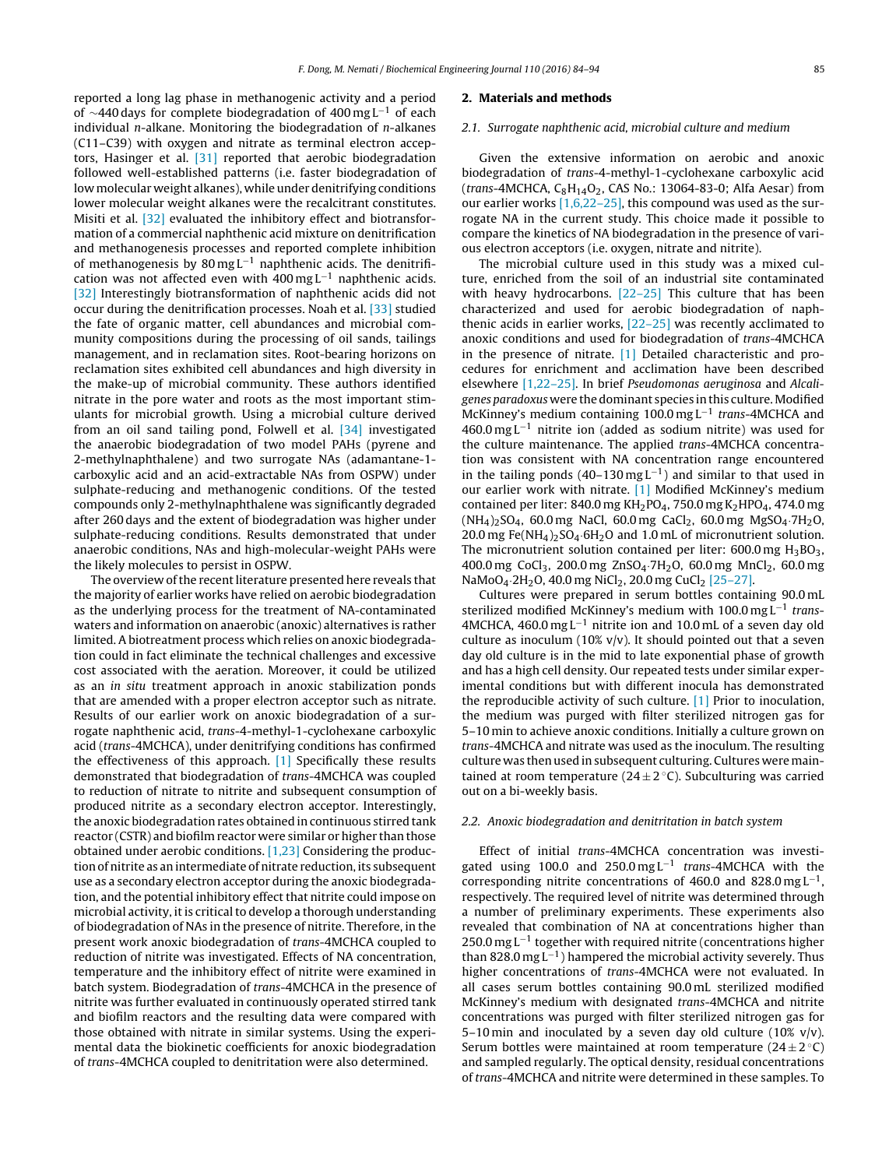reported a long lag phase in methanogenic activity and a period of  $\sim$ 440 days for complete biodegradation of 400 mg L<sup>-1</sup> of each individual n-alkane. Monitoring the biodegradation of n-alkanes (C11–C39) with oxygen and nitrate as terminal electron acceptors, Hasinger et al. [\[31\]](#page--1-0) reported that aerobic biodegradation followed well-established patterns (i.e. faster biodegradation of low molecular weight alkanes), while under denitrifying conditions lower molecular weight alkanes were the recalcitrant constitutes. Misiti et al. [\[32\]](#page--1-0) evaluated the inhibitory effect and biotransformation of a commercial naphthenic acid mixture on denitrification and methanogenesis processes and reported complete inhibition of methanogenesis by 80 mg L−<sup>1</sup> naphthenic acids. The denitrification was not affected even with  $400 \text{ mg } L^{-1}$  naphthenic acids. [\[32\]](#page--1-0) Interestingly biotransformation of naphthenic acids did not occur during the denitrification processes. Noah et al. [\[33\]](#page--1-0) studied the fate of organic matter, cell abundances and microbial community compositions during the processing of oil sands, tailings management, and in reclamation sites. Root-bearing horizons on reclamation sites exhibited cell abundances and high diversity in the make-up of microbial community. These authors identified nitrate in the pore water and roots as the most important stimulants for microbial growth. Using a microbial culture derived from an oil sand tailing pond, Folwell et al. [\[34\]](#page--1-0) investigated the anaerobic biodegradation of two model PAHs (pyrene and 2-methylnaphthalene) and two surrogate NAs (adamantane-1 carboxylic acid and an acid-extractable NAs from OSPW) under sulphate-reducing and methanogenic conditions. Of the tested compounds only 2-methylnaphthalene was significantly degraded after 260 days and the extent of biodegradation was higher under sulphate-reducing conditions. Results demonstrated that under anaerobic conditions, NAs and high-molecular-weight PAHs were the likely molecules to persist in OSPW.

The overview of the recent literature presented here reveals that the majority of earlier works have relied on aerobic biodegradation as the underlying process for the treatment of NA-contaminated waters and information on anaerobic (anoxic) alternatives is rather limited. A biotreatment process which relies on anoxic biodegradation could in fact eliminate the technical challenges and excessive cost associated with the aeration. Moreover, it could be utilized as an in situ treatment approach in anoxic stabilization ponds that are amended with a proper electron acceptor such as nitrate. Results of our earlier work on anoxic biodegradation of a surrogate naphthenic acid, trans-4-methyl-1-cyclohexane carboxylic acid (trans-4MCHCA), under denitrifying conditions has confirmed the effectiveness of this approach. [\[1\]](#page--1-0) Specifically these results demonstrated that biodegradation of trans-4MCHCA was coupled to reduction of nitrate to nitrite and subsequent consumption of produced nitrite as a secondary electron acceptor. Interestingly, the anoxic biodegradation rates obtained in continuous stirred tank reactor (CSTR) and biofilm reactor were similar or higher than those obtained under aerobic conditions. [\[1,23\]](#page--1-0) Considering the production of nitrite as an intermediate of nitrate reduction, its subsequent use as a secondary electron acceptor during the anoxic biodegradation, and the potential inhibitory effect that nitrite could impose on microbial activity, it is critical to develop a thorough understanding of biodegradation of NAs in the presence of nitrite. Therefore, in the present work anoxic biodegradation of trans-4MCHCA coupled to reduction of nitrite was investigated. Effects of NA concentration, temperature and the inhibitory effect of nitrite were examined in batch system. Biodegradation of trans-4MCHCA in the presence of nitrite was further evaluated in continuously operated stirred tank and biofilm reactors and the resulting data were compared with those obtained with nitrate in similar systems. Using the experimental data the biokinetic coefficients for anoxic biodegradation of trans-4MCHCA coupled to denitritation were also determined.

#### **2. Materials and methods**

#### 2.1. Surrogate naphthenic acid, microbial culture and medium

Given the extensive information on aerobic and anoxic biodegradation of trans-4-methyl-1-cyclohexane carboxylic acid (trans-4MCHCA,  $C_8H_{14}O_2$ , CAS No.: 13064-83-0; Alfa Aesar) from our earlier works [\[1,6,22–25\],](#page--1-0) this compound was used as the surrogate NA in the current study. This choice made it possible to compare the kinetics of NA biodegradation in the presence of various electron acceptors (i.e. oxygen, nitrate and nitrite).

The microbial culture used in this study was a mixed culture, enriched from the soil of an industrial site contaminated with heavy hydrocarbons. [22-25] This culture that has been characterized and used for aerobic biodegradation of naphthenic acids in earlier works, [\[22–25\]](#page--1-0) was recently acclimated to anoxic conditions and used for biodegradation of trans-4MCHCA in the presence of nitrate. [\[1\]](#page--1-0) Detailed characteristic and procedures for enrichment and acclimation have been described elsewhere [\[1,22–25\].](#page--1-0) In brief Pseudomonas aeruginosa and Alcaligenes paradoxus were the dominant species in this culture.Modified McKinney's medium containing 100.0 mg L<sup>-1</sup> trans-4MCHCA and 460.0 mg L−<sup>1</sup> nitrite ion (added as sodium nitrite) was used for the culture maintenance. The applied trans-4MCHCA concentration was consistent with NA concentration range encountered in the tailing ponds (40–130 mg L<sup>-1</sup>) and similar to that used in our earlier work with nitrate. [\[1\]](#page--1-0) Modified McKinney's medium contained per liter: 840.0 mg  $KH<sub>2</sub>PO<sub>4</sub>$ , 750.0 mg  $K<sub>2</sub>HPO<sub>4</sub>$ , 474.0 mg  $(NH_4)_2$ SO<sub>4</sub>, 60.0 mg NaCl, 60.0 mg CaCl<sub>2</sub>, 60.0 mg MgSO<sub>4</sub>.7H<sub>2</sub>O, 20.0 mg Fe(NH<sub>4</sub>)<sub>2</sub>SO<sub>4</sub>.6H<sub>2</sub>O and 1.0 mL of micronutrient solution. The micronutrient solution contained per liter:  $600.0$  mg  $H_3BO_3$ , 400.0 mg CoCl<sub>3</sub>, 200.0 mg ZnSO<sub>4</sub>.7H<sub>2</sub>O, 60.0 mg MnCl<sub>2</sub>, 60.0 mg NaMoO<sub>4</sub> $-2H_2$ O, 40.0 mg NiCl<sub>2</sub>, 20.0 mg CuCl<sub>2</sub> [\[25–27\].](#page--1-0)

Cultures were prepared in serum bottles containing 90.0 mL sterilized modified McKinney's medium with 100.0 mg  $L^{-1}$  trans-4MCHCA, 460.0 mg L<sup>-1</sup> nitrite ion and 10.0 mL of a seven day old culture as inoculum (10%  $v/v$ ). It should pointed out that a seven day old culture is in the mid to late exponential phase of growth and has a high cell density. Our repeated tests under similar experimental conditions but with different inocula has demonstrated the reproducible activity of such culture. [\[1\]](#page--1-0) Prior to inoculation, the medium was purged with filter sterilized nitrogen gas for 5–10 min to achieve anoxic conditions. Initially a culture grown on trans-4MCHCA and nitrate was used as the inoculum. The resulting culture was then used in subsequent culturing. Cultures weremaintained at room temperature ( $24 \pm 2$  °C). Subculturing was carried out on a bi-weekly basis.

#### 2.2. Anoxic biodegradation and denitritation in batch system

Effect of initial trans-4MCHCA concentration was investigated using 100.0 and 250.0 mg L<sup>-1</sup> trans-4MCHCA with the corresponding nitrite concentrations of 460.0 and 828.0 mg  $L^{-1}$ , respectively. The required level of nitrite was determined through a number of preliminary experiments. These experiments also revealed that combination of NA at concentrations higher than 250.0 mg L<sup>-1</sup> together with required nitrite (concentrations higher than 828.0 mg  $L^{-1}$ ) hampered the microbial activity severely. Thus higher concentrations of trans-4MCHCA were not evaluated. In all cases serum bottles containing 90.0 mL sterilized modified McKinney's medium with designated trans-4MCHCA and nitrite concentrations was purged with filter sterilized nitrogen gas for 5–10 min and inoculated by a seven day old culture (10% v/v). Serum bottles were maintained at room temperature  $(24 \pm 2 \degree C)$ and sampled regularly. The optical density, residual concentrations of trans-4MCHCA and nitrite were determined in these samples. To